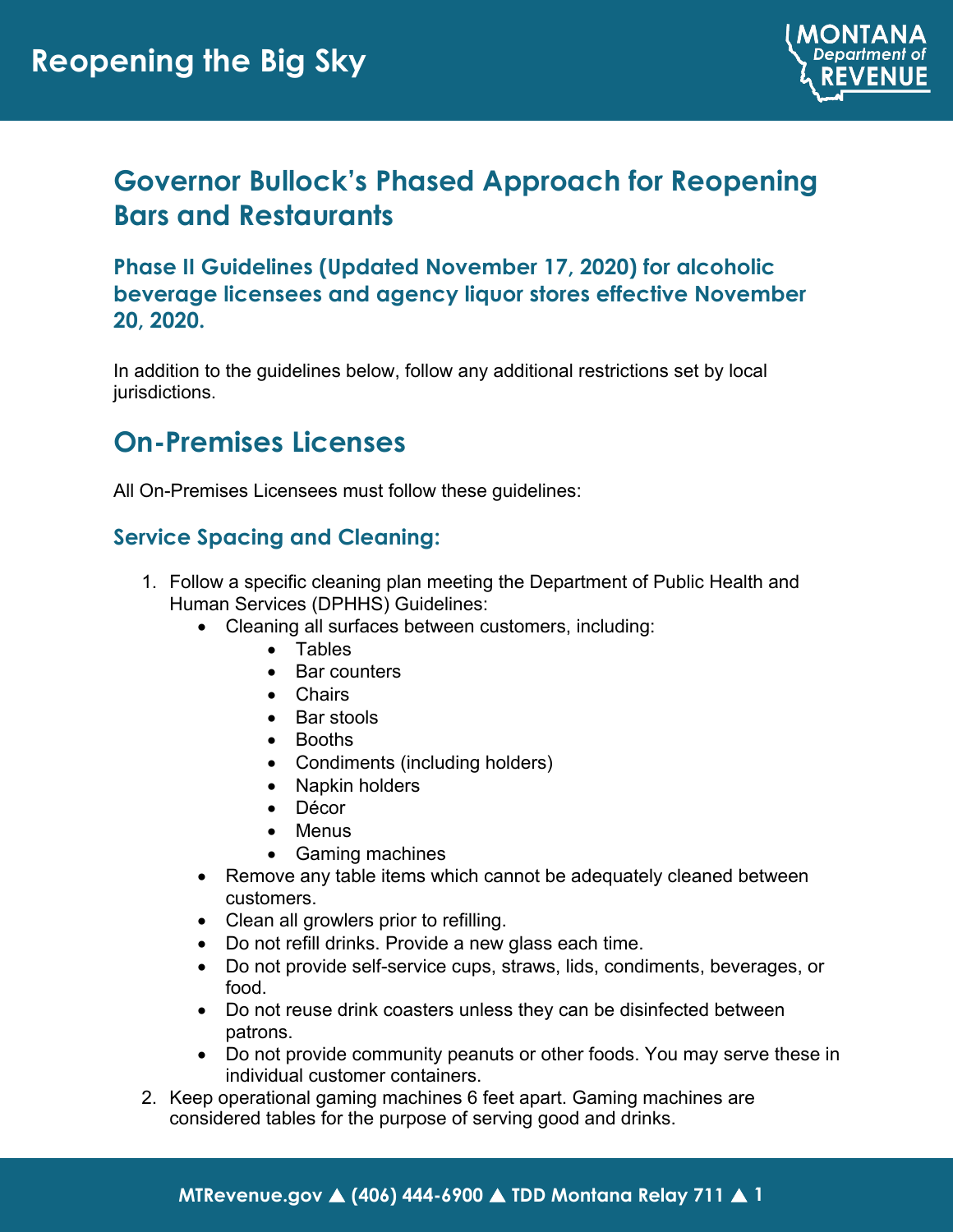

# **Governor Bullock's Phased Approach for Reopening Bars and Restaurants**

**Phase II Guidelines (Updated November 17, 2020) for alcoholic beverage licensees and agency liquor stores effective November 20, 2020.**

In addition to the guidelines below, follow any additional restrictions set by local jurisdictions.

## **On-Premises Licenses**

All On-Premises Licensees must follow these guidelines:

## **Service Spacing and Cleaning:**

- 1. Follow a specific cleaning plan meeting the Department of Public Health and Human Services (DPHHS) Guidelines:
	- Cleaning all surfaces between customers, including:
		- Tables
		- Bar counters
		- Chairs
		- Bar stools
		- Booths
		- Condiments (including holders)
		- Napkin holders
		- Décor
		- Menus
		- Gaming machines
	- Remove any table items which cannot be adequately cleaned between customers.
	- Clean all growlers prior to refilling.
	- Do not refill drinks. Provide a new glass each time.
	- Do not provide self-service cups, straws, lids, condiments, beverages, or food.
	- Do not reuse drink coasters unless they can be disinfected between patrons.
	- Do not provide community peanuts or other foods. You may serve these in individual customer containers.
- 2. Keep operational gaming machines 6 feet apart. Gaming machines are considered tables for the purpose of serving good and drinks.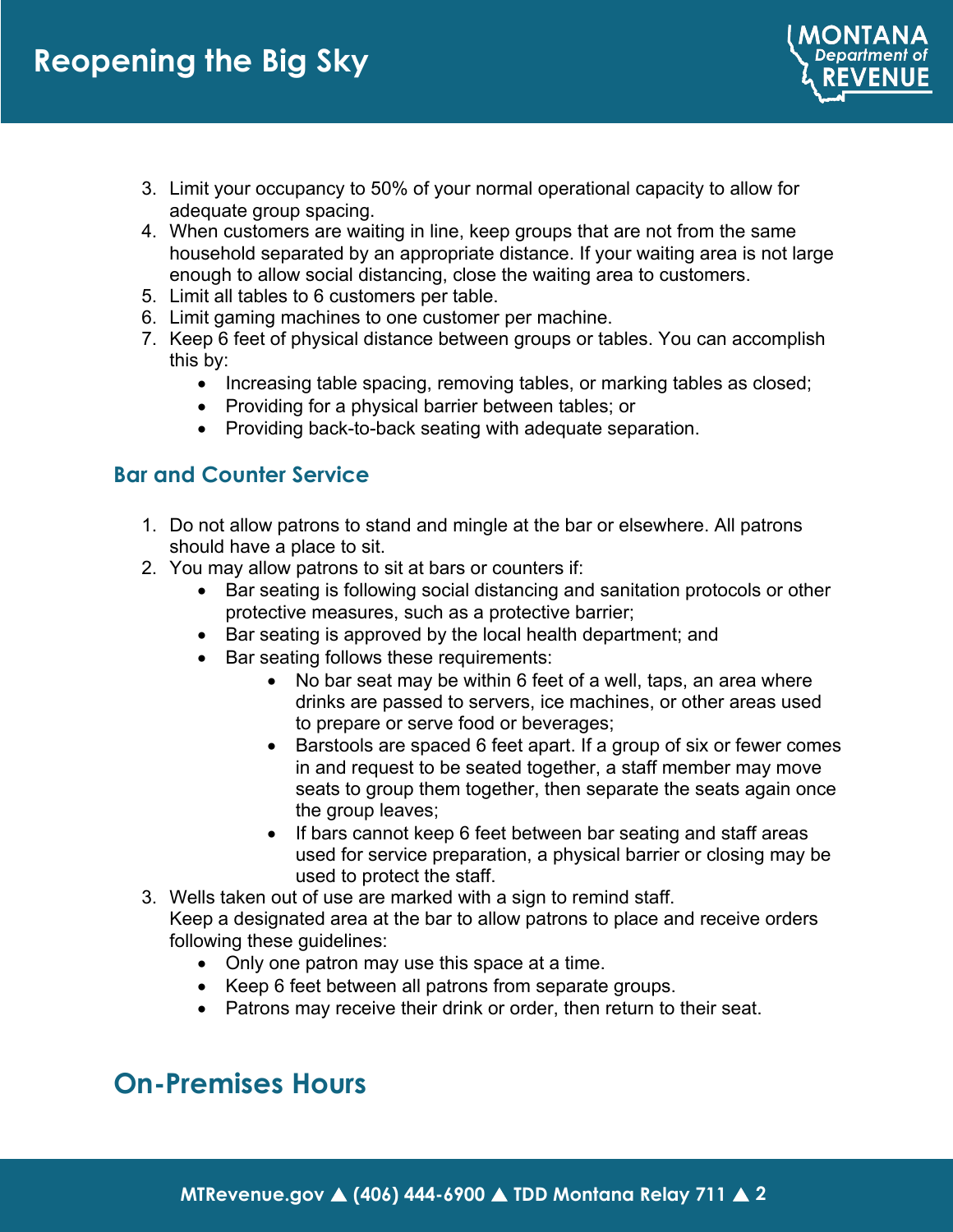3. Limit your occupancy to 50% of your normal operational capacity to allow for adequate group spacing.

MONTANA **Department of REVENUE** 

- 4. When customers are waiting in line, keep groups that are not from the same household separated by an appropriate distance. If your waiting area is not large enough to allow social distancing, close the waiting area to customers.
- 5. Limit all tables to 6 customers per table.
- 6. Limit gaming machines to one customer per machine.
- 7. Keep 6 feet of physical distance between groups or tables. You can accomplish this by:
	- Increasing table spacing, removing tables, or marking tables as closed;
	- Providing for a physical barrier between tables; or
	- Providing back-to-back seating with adequate separation.

### **Bar and Counter Service**

- 1. Do not allow patrons to stand and mingle at the bar or elsewhere. All patrons should have a place to sit.
- 2. You may allow patrons to sit at bars or counters if:
	- Bar seating is following social distancing and sanitation protocols or other protective measures, such as a protective barrier;
	- Bar seating is approved by the local health department; and
	- Bar seating follows these requirements:
		- No bar seat may be within 6 feet of a well, taps, an area where drinks are passed to servers, ice machines, or other areas used to prepare or serve food or beverages;
		- Barstools are spaced 6 feet apart. If a group of six or fewer comes in and request to be seated together, a staff member may move seats to group them together, then separate the seats again once the group leaves;
		- If bars cannot keep 6 feet between bar seating and staff areas used for service preparation, a physical barrier or closing may be used to protect the staff.
- 3. Wells taken out of use are marked with a sign to remind staff.

Keep a designated area at the bar to allow patrons to place and receive orders following these guidelines:

- Only one patron may use this space at a time.
- Keep 6 feet between all patrons from separate groups.
- Patrons may receive their drink or order, then return to their seat.

## **On-Premises Hours**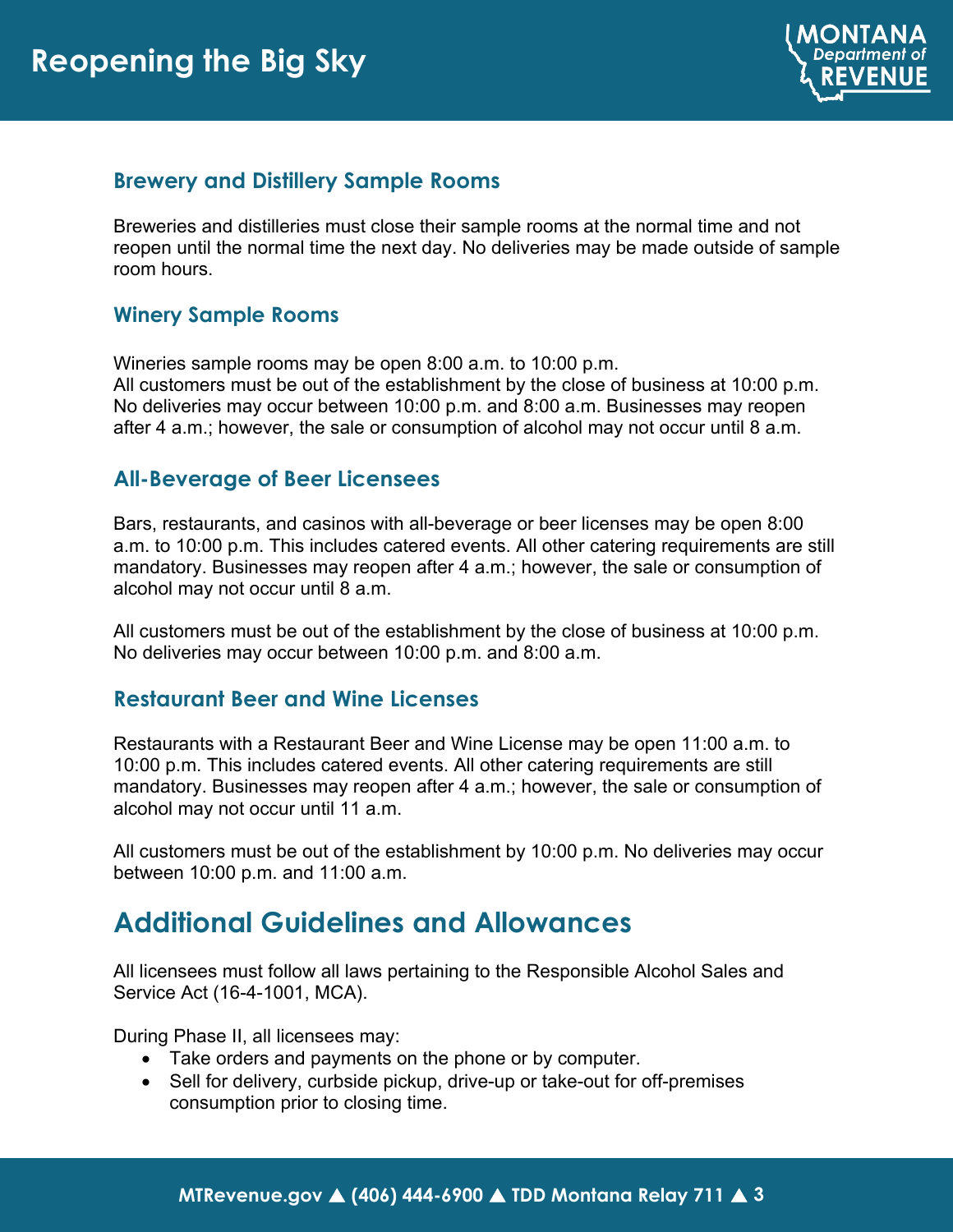

#### **Brewery and Distillery Sample Rooms**

Breweries and distilleries must close their sample rooms at the normal time and not reopen until the normal time the next day. No deliveries may be made outside of sample room hours.

#### **Winery Sample Rooms**

Wineries sample rooms may be open 8:00 a.m. to 10:00 p.m.

All customers must be out of the establishment by the close of business at 10:00 p.m. No deliveries may occur between 10:00 p.m. and 8:00 a.m. Businesses may reopen after 4 a.m.; however, the sale or consumption of alcohol may not occur until 8 a.m.

### **All-Beverage of Beer Licensees**

Bars, restaurants, and casinos with all-beverage or beer licenses may be open 8:00 a.m. to 10:00 p.m. This includes catered events. All other catering requirements are still mandatory. Businesses may reopen after 4 a.m.; however, the sale or consumption of alcohol may not occur until 8 a.m.

All customers must be out of the establishment by the close of business at 10:00 p.m. No deliveries may occur between 10:00 p.m. and 8:00 a.m.

#### **Restaurant Beer and Wine Licenses**

Restaurants with a Restaurant Beer and Wine License may be open 11:00 a.m. to 10:00 p.m. This includes catered events. All other catering requirements are still mandatory. Businesses may reopen after 4 a.m.; however, the sale or consumption of alcohol may not occur until 11 a.m.

All customers must be out of the establishment by 10:00 p.m. No deliveries may occur between 10:00 p.m. and 11:00 a.m.

## **Additional Guidelines and Allowances**

All licensees must follow all laws pertaining to the Responsible Alcohol Sales and Service Act (16-4-1001, MCA).

During Phase II, all licensees may:

- Take orders and payments on the phone or by computer.
- Sell for delivery, curbside pickup, drive-up or take-out for off-premises consumption prior to closing time.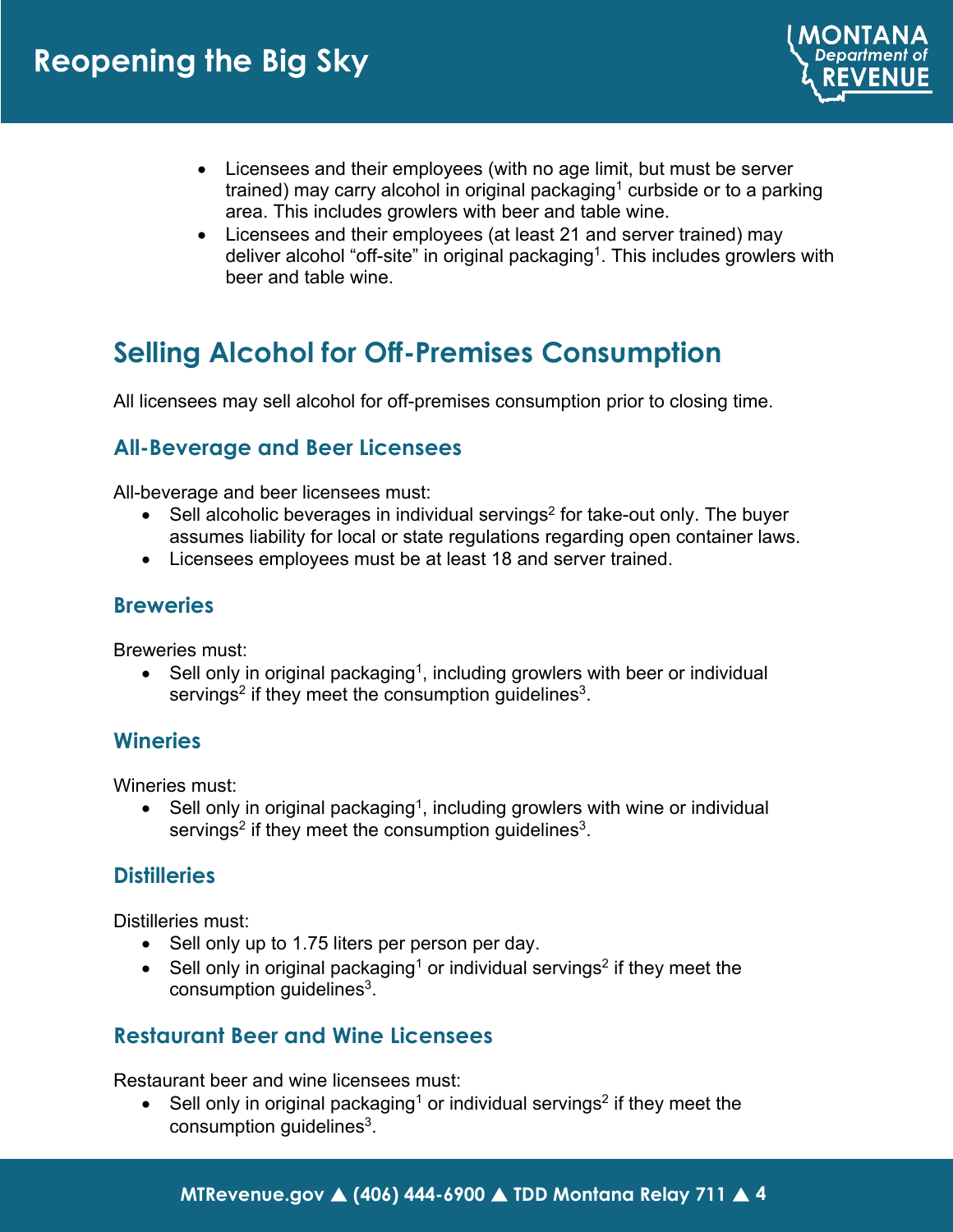

- Licensees and their employees (with no age limit, but must be server trained) may carry alcohol in original packaging<sup>1</sup> curbside or to a parking area. This includes growlers with beer and table wine.
- Licensees and their employees (at least 21 and server trained) may deliver alcohol "off-site" in original packaging<sup>1</sup>. This includes growlers with beer and table wine.

# **Selling Alcohol for Off-Premises Consumption**

All licensees may sell alcohol for off-premises consumption prior to closing time.

## **All-Beverage and Beer Licensees**

All-beverage and beer licensees must:

- Sell alcoholic beverages in individual servings<sup>2</sup> for take-out only. The buyer assumes liability for local or state regulations regarding open container laws.
- Licensees employees must be at least 18 and server trained.

### **Breweries**

Breweries must:

• Sell only in original packaging<sup>1</sup>, including growlers with beer or individual servings<sup>2</sup> if they meet the consumption guidelines<sup>3</sup>.

#### **Wineries**

Wineries must:

• Sell only in original packaging<sup>1</sup>, including growlers with wine or individual servings<sup>2</sup> if they meet the consumption guidelines<sup>3</sup>.

## **Distilleries**

Distilleries must:

- Sell only up to 1.75 liters per person per day.
- Sell only in original packaging<sup>1</sup> or individual servings<sup>2</sup> if they meet the consumption guidelines<sup>3</sup>.

#### **Restaurant Beer and Wine Licensees**

Restaurant beer and wine licensees must:

• Sell only in original packaging<sup>1</sup> or individual servings<sup>2</sup> if they meet the consumption guidelines<sup>3</sup>.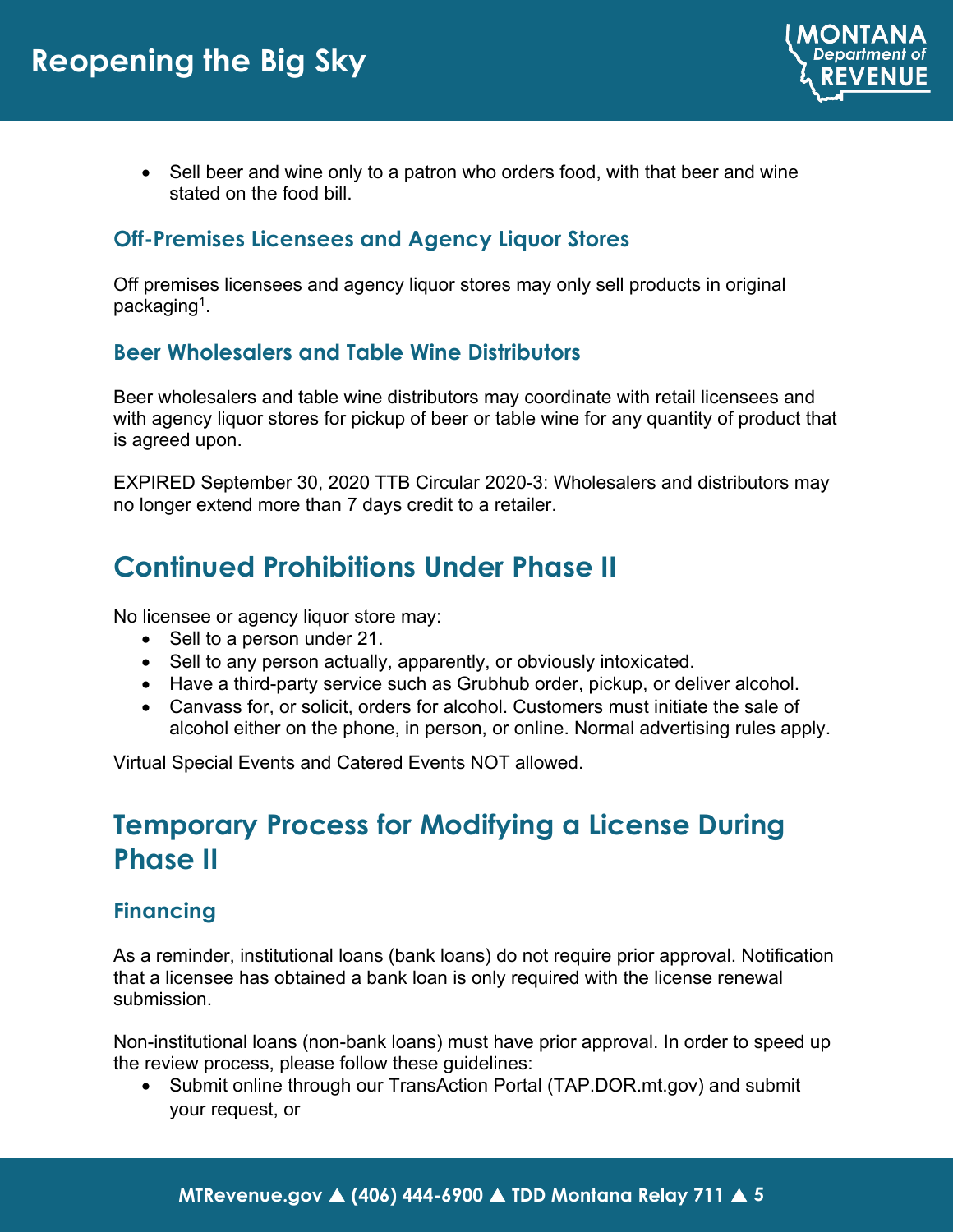

• Sell beer and wine only to a patron who orders food, with that beer and wine stated on the food bill.

## **Off-Premises Licensees and Agency Liquor Stores**

Off premises licensees and agency liquor stores may only sell products in original packaging<sup>1</sup>.

## **Beer Wholesalers and Table Wine Distributors**

Beer wholesalers and table wine distributors may coordinate with retail licensees and with agency liquor stores for pickup of beer or table wine for any quantity of product that is agreed upon.

EXPIRED September 30, 2020 TTB Circular 2020-3: Wholesalers and distributors may no longer extend more than 7 days credit to a retailer.

# **Continued Prohibitions Under Phase II**

No licensee or agency liquor store may:

- Sell to a person under 21.
- Sell to any person actually, apparently, or obviously intoxicated.
- Have a third-party service such as Grubhub order, pickup, or deliver alcohol.
- Canvass for, or solicit, orders for alcohol. Customers must initiate the sale of alcohol either on the phone, in person, or online. Normal advertising rules apply.

Virtual Special Events and Catered Events NOT allowed.

# **Temporary Process for Modifying a License During Phase II**

## **Financing**

As a reminder, institutional loans (bank loans) do not require prior approval. Notification that a licensee has obtained a bank loan is only required with the license renewal submission.

Non-institutional loans (non-bank loans) must have prior approval. In order to speed up the review process, please follow these guidelines:

• Submit online through our TransAction Portal (TAP.DOR.mt.gov) and submit your request, or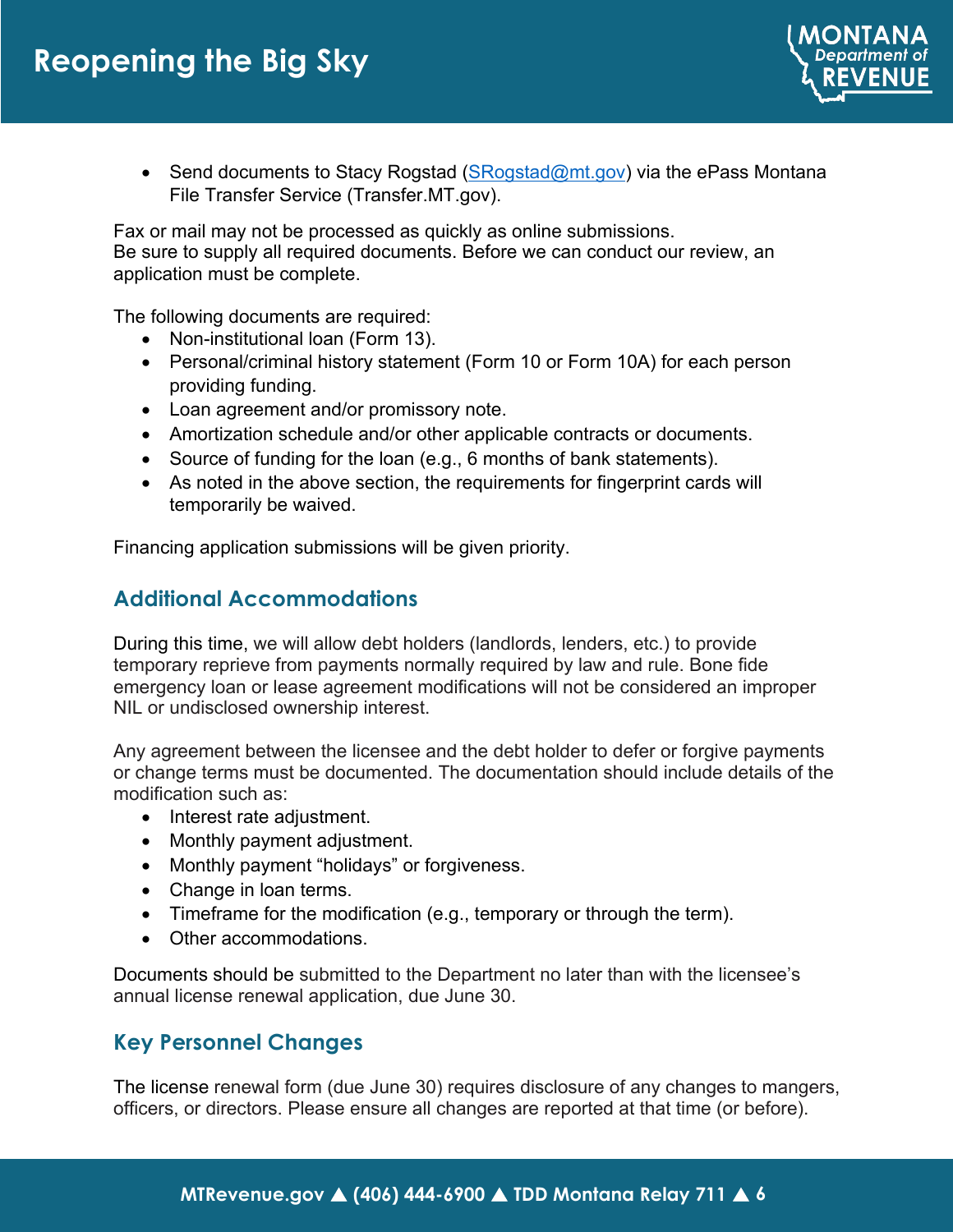

• Send documents to Stacy Rogstad  $(SRogstad@mt.gov)$  via the ePass Montana File Transfer Service (Transfer.MT.gov).

Fax or mail may not be processed as quickly as online submissions. Be sure to supply all required documents. Before we can conduct our review, an application must be complete.

The following documents are required:

- Non-institutional loan (Form 13).
- Personal/criminal history statement (Form 10 or Form 10A) for each person providing funding.
- Loan agreement and/or promissory note.
- Amortization schedule and/or other applicable contracts or documents.
- Source of funding for the loan (e.g., 6 months of bank statements).
- As noted in the above section, the requirements for fingerprint cards will temporarily be waived.

Financing application submissions will be given priority.

### **Additional Accommodations**

During this time, we will allow debt holders (landlords, lenders, etc.) to provide temporary reprieve from payments normally required by law and rule. Bone fide emergency loan or lease agreement modifications will not be considered an improper NIL or undisclosed ownership interest.

Any agreement between the licensee and the debt holder to defer or forgive payments or change terms must be documented. The documentation should include details of the modification such as:

- Interest rate adjustment.
- Monthly payment adjustment.
- Monthly payment "holidays" or forgiveness.
- Change in loan terms.
- Timeframe for the modification (e.g., temporary or through the term).
- Other accommodations.

Documents should be submitted to the Department no later than with the licensee's annual license renewal application, due June 30.

## **Key Personnel Changes**

The license renewal form (due June 30) requires disclosure of any changes to mangers, officers, or directors. Please ensure all changes are reported at that time (or before).